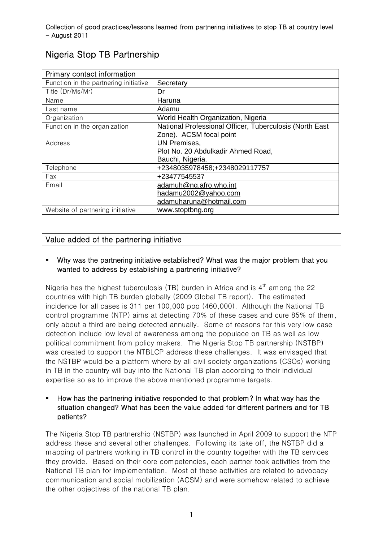| Primary contact information           |                                                         |  |  |  |
|---------------------------------------|---------------------------------------------------------|--|--|--|
| Function in the partnering initiative | Secretary                                               |  |  |  |
| Title (Dr/Ms/Mr)                      | Dr                                                      |  |  |  |
| Name                                  | Haruna                                                  |  |  |  |
| Last name                             | Adamu                                                   |  |  |  |
| Organization                          | World Health Organization, Nigeria                      |  |  |  |
| Function in the organization          | National Professional Officer, Tuberculosis (North East |  |  |  |
|                                       | Zone). ACSM focal point                                 |  |  |  |
| Address                               | <b>UN Premises,</b>                                     |  |  |  |
|                                       | Plot No. 20 Abdulkadir Ahmed Road,                      |  |  |  |
|                                       | Bauchi, Nigeria.                                        |  |  |  |
| Telephone                             | +2348035978458;+2348029117757                           |  |  |  |
| Fax                                   | +23477545537                                            |  |  |  |
| Email                                 | adamuh@ng.afro.who.int                                  |  |  |  |
|                                       | hadamu2002@yahoo.com                                    |  |  |  |
|                                       | adamuharuna@hotmail.com                                 |  |  |  |
| Website of partnering initiative      | www.stoptbng.org                                        |  |  |  |

# Nigeria Stop TB Partnership

# Value added of the partnering initiative

### Why was the partnering initiative established? What was the major problem that you wanted to address by establishing a partnering initiative?

Nigeria has the highest tuberculosis (TB) burden in Africa and is  $4<sup>th</sup>$  among the 22 countries with high TB burden globally (2009 Global TB report). The estimated incidence for all cases is 311 per 100,000 pop (460,000). Although the National TB control programme (NTP) aims at detecting 70% of these cases and cure 85% of them, only about a third are being detected annually. Some of reasons for this very low case detection include low level of awareness among the populace on TB as well as low political commitment from policy makers. The Nigeria Stop TB partnership (NSTBP) was created to support the NTBLCP address these challenges. It was envisaged that the NSTBP would be a platform where by all civil society organizations (CSOs) working in TB in the country will buy into the National TB plan according to their individual expertise so as to improve the above mentioned programme targets.

#### How has the partnering initiative responded to that problem? In what way has the situation changed? What has been the value added for different partners and for TB patients?

The Nigeria Stop TB partnership (NSTBP) was launched in April 2009 to support the NTP address these and several other challenges. Following its take off, the NSTBP did a mapping of partners working in TB control in the country together with the TB services they provide. Based on their core competencies, each partner took activities from the National TB plan for implementation. Most of these activities are related to advocacy communication and social mobilization (ACSM) and were somehow related to achieve the other objectives of the national TB plan.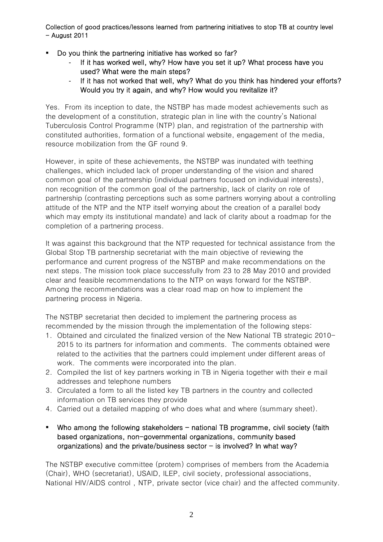- Do you think the partnering initiative has worked so far?
	- If it has worked well, why? How have you set it up? What process have you used? What were the main steps?
	- If it has not worked that well, why? What do you think has hindered your efforts? Would you try it again, and why? How would you revitalize it?

Yes. From its inception to date, the NSTBP has made modest achievements such as the development of a constitution, strategic plan in line with the country's National Tuberculosis Control Programme (NTP) plan, and registration of the partnership with constituted authorities, formation of a functional website, engagement of the media, resource mobilization from the GF round 9.

However, in spite of these achievements, the NSTBP was inundated with teething challenges, which included lack of proper understanding of the vision and shared common goal of the partnership (individual partners focused on individual interests), non recognition of the common goal of the partnership, lack of clarity on role of partnership (contrasting perceptions such as some partners worrying about a controlling attitude of the NTP and the NTP itself worrying about the creation of a parallel body which may empty its institutional mandate) and lack of clarity about a roadmap for the completion of a partnering process.

It was against this background that the NTP requested for technical assistance from the Global Stop TB partnership secretariat with the main objective of reviewing the performance and current progress of the NSTBP and make recommendations on the next steps. The mission took place successfully from 23 to 28 May 2010 and provided clear and feasible recommendations to the NTP on ways forward for the NSTBP. Among the recommendations was a clear road map on how to implement the partnering process in Nigeria.

The NSTBP secretariat then decided to implement the partnering process as recommended by the mission through the implementation of the following steps:

- 1. Obtained and circulated the finalized version of the New National TB strategic 2010- 2015 to its partners for information and comments. The comments obtained were related to the activities that the partners could implement under different areas of work. The comments were incorporated into the plan.
- 2. Compiled the list of key partners working in TB in Nigeria together with their e mail addresses and telephone numbers
- 3. Circulated a form to all the listed key TB partners in the country and collected information on TB services they provide
- 4. Carried out a detailed mapping of who does what and where (summary sheet).
- Who among the following stakeholders  $-$  national TB programme, civil society (faith based organizations, non-governmental organizations, community based organizations) and the private/business sector  $-$  is involved? In what way?

The NSTBP executive committee (protem) comprises of members from the Academia (Chair), WHO (secretariat), USAID, ILEP, civil society, professional associations, National HIV/AIDS control , NTP, private sector (vice chair) and the affected community.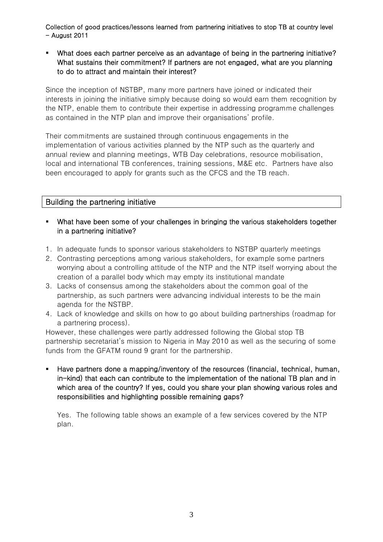What does each partner perceive as an advantage of being in the partnering initiative? What sustains their commitment? If partners are not engaged, what are you planning to do to attract and maintain their interest?

Since the inception of NSTBP, many more partners have joined or indicated their interests in joining the initiative simply because doing so would earn them recognition by the NTP, enable them to contribute their expertise in addressing programme challenges as contained in the NTP plan and improve their organisations' profile.

Their commitments are sustained through continuous engagements in the implementation of various activities planned by the NTP such as the quarterly and annual review and planning meetings, WTB Day celebrations, resource mobilisation, local and international TB conferences, training sessions, M&E etc. Partners have also been encouraged to apply for grants such as the CFCS and the TB reach.

### Building the partnering initiative

- What have been some of your challenges in bringing the various stakeholders together in a partnering initiative?
- 1. In adequate funds to sponsor various stakeholders to NSTBP quarterly meetings
- 2. Contrasting perceptions among various stakeholders, for example some partners worrying about a controlling attitude of the NTP and the NTP itself worrying about the creation of a parallel body which may empty its institutional mandate
- 3. Lacks of consensus among the stakeholders about the common goal of the partnership, as such partners were advancing individual interests to be the main agenda for the NSTBP.
- 4. Lack of knowledge and skills on how to go about building partnerships (roadmap for a partnering process).

However, these challenges were partly addressed following the Global stop TB partnership secretariat's mission to Nigeria in May 2010 as well as the securing of some funds from the GFATM round 9 grant for the partnership.

 Have partners done a mapping/inventory of the resources (financial, technical, human, in-kind) that each can contribute to the implementation of the national TB plan and in which area of the country? If yes, could you share your plan showing various roles and responsibilities and highlighting possible remaining gaps?

Yes. The following table shows an example of a few services covered by the NTP plan.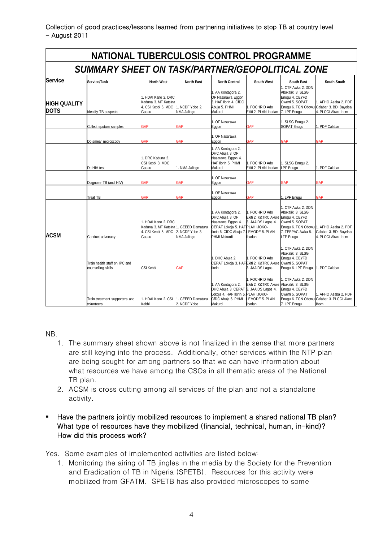| NATIONAL TUBERCULOSIS CONTROL PROGRAMME<br>SUMMARY SHEET ON TASK/PARTNER/GEOPOLITICAL ZONE |                                                     |                                                                                               |                                   |                                                                                                                                                         |                                                                        |                                                                                                                      |                                                                                         |  |  |
|--------------------------------------------------------------------------------------------|-----------------------------------------------------|-----------------------------------------------------------------------------------------------|-----------------------------------|---------------------------------------------------------------------------------------------------------------------------------------------------------|------------------------------------------------------------------------|----------------------------------------------------------------------------------------------------------------------|-----------------------------------------------------------------------------------------|--|--|
|                                                                                            |                                                     |                                                                                               |                                   |                                                                                                                                                         |                                                                        |                                                                                                                      |                                                                                         |  |  |
| <b>HIGH QUALITY</b><br><b>DOTS</b>                                                         | Identify TB suspects                                | 1. HDAI Kano 2. DRC<br>Kaduna 3. MF Katsina<br>4. CSI Kebbi 5. MDC<br>Gusau                   | 1. NCDF Yobe 2.<br>NMA Jalingo    | 1. AA Kontagora 2.<br>OF Nasarawa Eggon<br>3. HAF Ilorin 4. CfDC<br>Abuja 5. PHMI<br>Makurdi                                                            | 1. FOCHRID Ado<br>Ekiti 2. PLAN Ibadan                                 | 1. CTF Awka 2. DDN<br>Abakaliki 3. SLSG<br>Enugu 4. CEYFD<br>Owerri 5. SOPAT<br>7. LPF Enugu                         | 1. AFHO Asaba 2. PDF<br>Enugu 6. TGN Obowu Calabar 3. BDI Bayelsa<br>4. PLCGI Akwa Ibom |  |  |
|                                                                                            |                                                     |                                                                                               |                                   | 1. OF Nasarawa                                                                                                                                          |                                                                        | 1. SLSG Enugu 2.                                                                                                     |                                                                                         |  |  |
|                                                                                            | Collect sputum samples                              | GAP                                                                                           | <b>GAP</b>                        | Eagon                                                                                                                                                   | GAP                                                                    | <b>SOPAT Enugu</b>                                                                                                   | 1. PDF Calabar                                                                          |  |  |
|                                                                                            | Do smear microscopy                                 | GAP                                                                                           | <b>GAP</b>                        | 1. OF Nasarawa<br>Eggon                                                                                                                                 | GAP                                                                    | GAP                                                                                                                  | GAP                                                                                     |  |  |
|                                                                                            | Do HIV test                                         | 1. DRC Kaduna 2.<br>CSI Kebbi 3. MDC<br>Gusau                                                 | . NMA Jalingo                     | 1. AA Kontagora 2.<br>DHC Abuja 3. OF<br>Nasarawa Eggon 4.<br>HAF Ilorin 5. PHMI<br>Makurdi                                                             | 1. FOCHRID Ado<br>Ekiti 2. PLAN Ibadan                                 | 1. SLSG Enugu 2.<br>LPF Enuau                                                                                        | 1. PDF Calabar                                                                          |  |  |
|                                                                                            | Diagnose TB (and HIV)                               | GAP                                                                                           | <b>SAP</b>                        | 1. OF Nasarawa<br>Eggon                                                                                                                                 | GAP                                                                    | GAP                                                                                                                  | GAP                                                                                     |  |  |
|                                                                                            | <b>Treat TB</b>                                     | <b>GAP</b>                                                                                    | <b>GAP</b>                        | 1. OF Nasarawa<br>Eggon                                                                                                                                 | GAP                                                                    | 1. LPF Enugu                                                                                                         | GAP                                                                                     |  |  |
| <b>ACSM</b>                                                                                | Conduct advocacv                                    | 1. HDAI Kano 2. DRC<br>Kaduna 3. MF Katsina 1. GEEED Damaturu<br>4. CSI Kebbi 5. MDC<br>Gusau | 2. NCDF Yobe 3.<br>NMA Jalingo    | 1. AA Kontagora 2.<br>DHC Abuia 3, OF<br>Nasarawa Eggon 4.<br>CEPAT Lokoja 5. HAF PLAH IJOKO-<br>Ilorin 6. CfDC Abuja 7. LEMODE 5. PLAN<br>PHMI Makurdi | 1. FOCHRID Ado<br>Ekiti 2. K&TRC Akure<br>3. JAAIDS Lagos 4.<br>Ibadan | 1. CTF Awka 2. DDN<br>Abakaliki 3. SLSG<br>Enugu 4. CEYFD<br>Owerri 5. SOPAT<br>7. TEEPAC Awka 8.<br><b>FP Enugu</b> | Enugu 6. TGN Obowu 1. AFHO Asaba 2. PDF<br>Calabar 3. BDI Bayelsa<br>4. PLCGI Akwa Ibom |  |  |
|                                                                                            | Train health staff on IPC and<br>counselling skills | CSI Kebbi                                                                                     | GAP                               | 1. DHC Abuja 2.<br>CEPAT Lokoja 3. HAF Ekiti 2. K&TRC Akure<br><b>Ilorin</b>                                                                            | 1. FOCHRID Ado<br>3. JAAIDS Lagos                                      | 1. CTF Awka 2. DDN<br>Abakaliki 3. SLSG<br>Enugu 4. CEYFD<br>Owerri 5. SOPAT<br>Enugu 6. LPF Enugu                   | 1. PDF Calabar                                                                          |  |  |
|                                                                                            | Train treatment supporters and<br>volunteers        | 1. HDAI Kano 2. CSI<br>Kebbi                                                                  | 1. GEEED Damaturu<br>2. NCDF Yobe | 1. AA Kontagora 2.<br>DHC Abuja 3. CEPAT 3. JAAIDS Lagos 4.<br>Lokoja 4. HAF Ilorin 5. PLAH IJOKO-<br>CfDC Abuja 6. PHMI<br>Makurdi                     | 1. FOCHRID Ado<br>Ekiti 2. K&TRC Akure<br>LEMODE 5. PLAN<br>Ibadan     | 1. CTF Awka 2. DDN<br>Abakaliki 3. SLSG<br>Enugu 4. CEYFD<br>Owerri 5. SOPAT<br>7. LPF Enugu                         | 1. AFHO Asaba 2. PDF<br>Enugu 6. TGN Obowu Calabar 3. PLCGI Akwa<br>Ibom                |  |  |

NB.

- 1. The summary sheet shown above is not finalized in the sense that more partners are still keying into the process. Additionally, other services within the NTP plan are being sought for among partners so that we can have information about what resources we have among the CSOs in all thematic areas of the National TB plan.
- 2. ACSM is cross cutting among all services of the plan and not a standalone activity.
- Have the partners jointly mobilized resources to implement a shared national TB plan? What type of resources have they mobilized (financial, technical, human, in-kind)? How did this process work?

Yes. Some examples of implemented activities are listed below:

1. Monitoring the airing of TB jingles in the media by the Society for the Prevention and Eradication of TB in Nigeria (SPETB). Resources for this activity were mobilized from GFATM. SPETB has also provided microscopes to some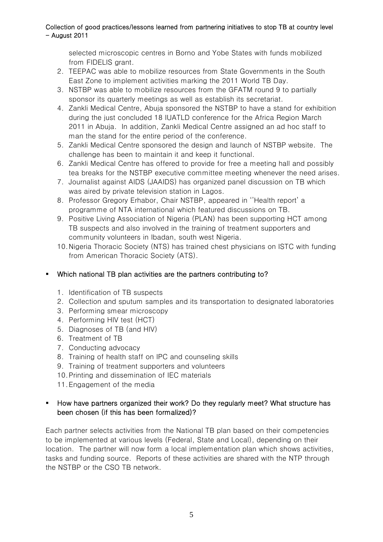selected microscopic centres in Borno and Yobe States with funds mobilized from FIDELIS grant.

- 2. TEEPAC was able to mobilize resources from State Governments in the South East Zone to implement activities marking the 2011 World TB Day.
- 3. NSTBP was able to mobilize resources from the GFATM round 9 to partially sponsor its quarterly meetings as well as establish its secretariat.
- 4. Zankli Medical Centre, Abuja sponsored the NSTBP to have a stand for exhibition during the just concluded 18 IUATLD conference for the Africa Region March 2011 in Abuja. In addition, Zankli Medical Centre assigned an ad hoc staff to man the stand for the entire period of the conference.
- 5. Zankli Medical Centre sponsored the design and launch of NSTBP website. The challenge has been to maintain it and keep it functional.
- 6. Zankli Medical Centre has offered to provide for free a meeting hall and possibly tea breaks for the NSTBP executive committee meeting whenever the need arises.
- 7. Journalist against AIDS (JAAIDS) has organized panel discussion on TB which was aired by private television station in Lagos.
- 8. Professor Gregory Erhabor, Chair NSTBP, appeared in ''Health report' a programme of NTA international which featured discussions on TB.
- 9. Positive Living Association of Nigeria (PLAN) has been supporting HCT among TB suspects and also involved in the training of treatment supporters and community volunteers in Ibadan, south west Nigeria.
- 10.Nigeria Thoracic Society (NTS) has trained chest physicians on ISTC with funding from American Thoracic Society (ATS).

## Which national TB plan activities are the partners contributing to?

- 1. Identification of TB suspects
- 2. Collection and sputum samples and its transportation to designated laboratories
- 3. Performing smear microscopy
- 4. Performing HIV test (HCT)
- 5. Diagnoses of TB (and HIV)
- 6. Treatment of TB
- 7. Conducting advocacy
- 8. Training of health staff on IPC and counseling skills
- 9. Training of treatment supporters and volunteers
- 10.Printing and dissemination of IEC materials
- 11.Engagement of the media

### How have partners organized their work? Do they regularly meet? What structure has been chosen (if this has been formalized)?

Each partner selects activities from the National TB plan based on their competencies to be implemented at various levels (Federal, State and Local), depending on their location. The partner will now form a local implementation plan which shows activities, tasks and funding source. Reports of these activities are shared with the NTP through the NSTBP or the CSO TB network.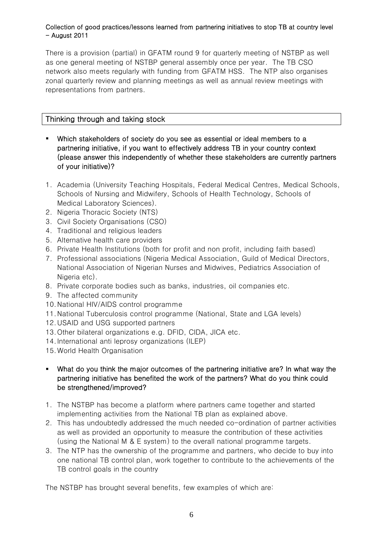There is a provision (partial) in GFATM round 9 for quarterly meeting of NSTBP as well as one general meeting of NSTBP general assembly once per year. The TB CSO network also meets regularly with funding from GFATM HSS. The NTP also organises zonal quarterly review and planning meetings as well as annual review meetings with representations from partners.

# Thinking through and taking stock

- Which stakeholders of society do you see as essential or ideal members to a partnering initiative, if you want to effectively address TB in your country context (please answer this independently of whether these stakeholders are currently partners of your initiative)?
- 1. Academia (University Teaching Hospitals, Federal Medical Centres, Medical Schools, Schools of Nursing and Midwifery, Schools of Health Technology, Schools of Medical Laboratory Sciences).
- 2. Nigeria Thoracic Society (NTS)
- 3. Civil Society Organisations (CSO)
- 4. Traditional and religious leaders
- 5. Alternative health care providers
- 6. Private Health Institutions (both for profit and non profit, including faith based)
- 7. Professional associations (Nigeria Medical Association, Guild of Medical Directors, National Association of Nigerian Nurses and Midwives, Pediatrics Association of Nigeria etc).
- 8. Private corporate bodies such as banks, industries, oil companies etc.
- 9. The affected community
- 10.National HIV/AIDS control programme
- 11.National Tuberculosis control programme (National, State and LGA levels)
- 12.USAID and USG supported partners
- 13.Other bilateral organizations e.g. DFID, CIDA, JICA etc.
- 14.International anti leprosy organizations (ILEP)
- 15.World Health Organisation
- What do you think the major outcomes of the partnering initiative are? In what way the partnering initiative has benefited the work of the partners? What do you think could be strengthened/improved?
- 1. The NSTBP has become a platform where partners came together and started implementing activities from the National TB plan as explained above.
- 2. This has undoubtedly addressed the much needed co-ordination of partner activities as well as provided an opportunity to measure the contribution of these activities (using the National M & E system) to the overall national programme targets.
- 3. The NTP has the ownership of the programme and partners, who decide to buy into one national TB control plan, work together to contribute to the achievements of the TB control goals in the country

The NSTBP has brought several benefits, few examples of which are: